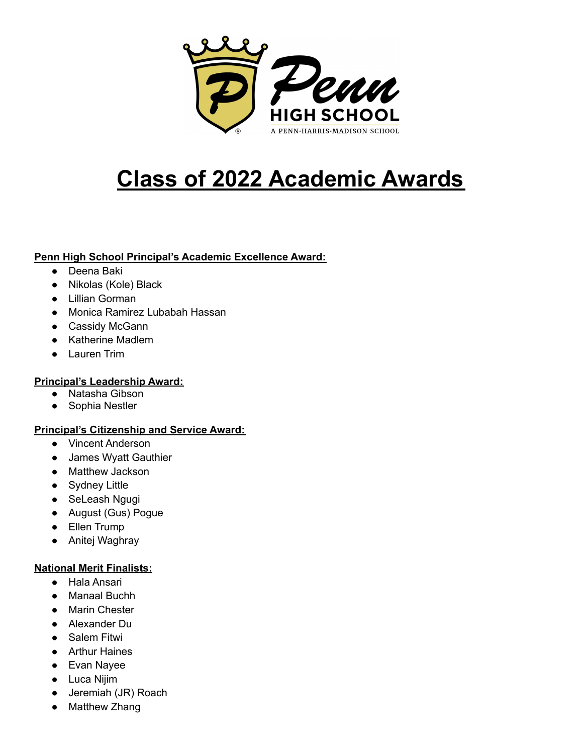

# **Class of 2022 Academic Awards**

## **Penn High School Principal's Academic Excellence Award:**

- Deena Baki
- Nikolas (Kole) Black
- Lillian Gorman
- Monica Ramirez Lubabah Hassan
- Cassidy McGann
- Katherine Madlem
- Lauren Trim

## **Principal's Leadership Award:**

- Natasha Gibson
- Sophia Nestler

## **Principal's Citizenship and Service Award:**

- Vincent Anderson
- James Wyatt Gauthier
- Matthew Jackson
- Sydney Little
- SeLeash Ngugi
- August (Gus) Pogue
- Ellen Trump
- Anitej Waghray

## **National Merit Finalists:**

- Hala Ansari
- Manaal Buchh
- Marin Chester
- Alexander Du
- Salem Fitwi
- Arthur Haines
- Evan Nayee
- Luca Nijim
- Jeremiah (JR) Roach
- Matthew Zhang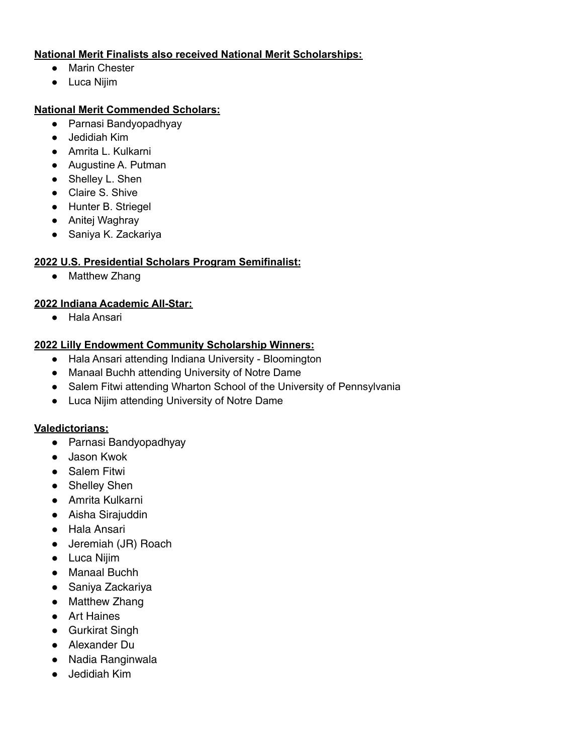#### **National Merit Finalists also received National Merit Scholarships:**

- Marin Chester
- Luca Nijim

## **National Merit Commended Scholars:**

- Parnasi Bandyopadhyay
- Jedidiah Kim
- Amrita L. Kulkarni
- Augustine A. Putman
- Shelley L. Shen
- Claire S. Shive
- Hunter B. Striegel
- Anitej Waghray
- Saniya K. Zackariya

# **2022 U.S. Presidential Scholars Program Semifinalist:**

● Matthew Zhang

# **2022 Indiana Academic All-Star:**

● Hala Ansari

# **2022 Lilly Endowment Community Scholarship Winners:**

- Hala Ansari attending Indiana University Bloomington
- Manaal Buchh attending University of Notre Dame
- Salem Fitwi attending Wharton School of the University of Pennsylvania
- Luca Nijim attending University of Notre Dame

## **Valedictorians:**

- Parnasi Bandyopadhyay
- Jason Kwok
- Salem Fitwi
- Shelley Shen
- Amrita Kulkarni
- Aisha Siraiuddin
- Hala Ansari
- Jeremiah (JR) Roach
- Luca Nijim
- Manaal Buchh
- Saniya Zackariya
- Matthew Zhang
- Art Haines
- Gurkirat Singh
- Alexander Du
- Nadia Ranginwala
- Jedidiah Kim